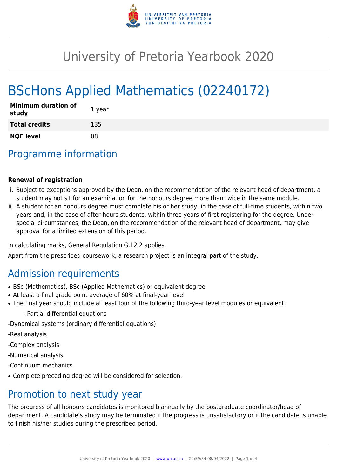

# University of Pretoria Yearbook 2020

# BScHons Applied Mathematics (02240172)

| <b>Minimum duration of</b><br>study | 1 year |
|-------------------------------------|--------|
| <b>Total credits</b>                | 135    |
| <b>NQF level</b>                    | 08     |

## Programme information

#### **Renewal of registration**

- i. Subject to exceptions approved by the Dean, on the recommendation of the relevant head of department, a student may not sit for an examination for the honours degree more than twice in the same module.
- ii. A student for an honours degree must complete his or her study, in the case of full-time students, within two years and, in the case of after-hours students, within three years of first registering for the degree. Under special circumstances, the Dean, on the recommendation of the relevant head of department, may give approval for a limited extension of this period.

In calculating marks, General Regulation G.12.2 applies.

Apart from the prescribed coursework, a research project is an integral part of the study.

### Admission requirements

- BSc (Mathematics), BSc (Applied Mathematics) or equivalent degree
- At least a final grade point average of 60% at final-year level
- The final year should include at least four of the following third-year level modules or equivalent:
	- -Partial differential equations
- -Dynamical systems (ordinary differential equations)
- -Real analysis
- -Complex analysis
- -Numerical analysis
- -Continuum mechanics.
- Complete preceding degree will be considered for selection.

### Promotion to next study year

The progress of all honours candidates is monitored biannually by the postgraduate coordinator/head of department. A candidate's study may be terminated if the progress is unsatisfactory or if the candidate is unable to finish his/her studies during the prescribed period.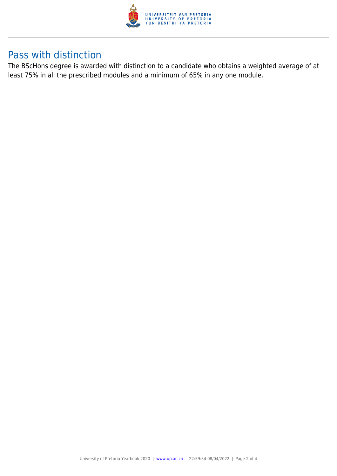

### Pass with distinction

The BScHons degree is awarded with distinction to a candidate who obtains a weighted average of at least 75% in all the prescribed modules and a minimum of 65% in any one module.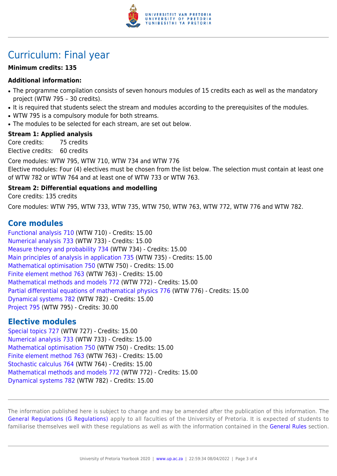

## Curriculum: Final year

#### **Minimum credits: 135**

#### **Additional information:**

- The programme compilation consists of seven honours modules of 15 credits each as well as the mandatory project (WTW 795 – 30 credits).
- It is required that students select the stream and modules according to the prerequisites of the modules.
- WTW 795 is a compulsory module for both streams.
- The modules to be selected for each stream, are set out below.

#### **Stream 1: Applied analysis**

Core credits: 75 credits Elective credits: 60 credits

Core modules: WTW 795, WTW 710, WTW 734 and WTW 776 Elective modules: Four (4) electives must be chosen from the list below. The selection must contain at least one of WTW 782 or WTW 764 and at least one of WTW 733 or WTW 763.

#### **Stream 2: Differential equations and modelling**

Core credits: 135 credits

Core modules: WTW 795, WTW 733, WTW 735, WTW 750, WTW 763, WTW 772, WTW 776 and WTW 782.

### **Core modules**

[Functional analysis 710](https://www.up.ac.za/parents/yearbooks/2020/modules/view/WTW 710) (WTW 710) - Credits: 15.00 [Numerical analysis 733](https://www.up.ac.za/parents/yearbooks/2020/modules/view/WTW 733) (WTW 733) - Credits: 15.00 [Measure theory and probability 734](https://www.up.ac.za/parents/yearbooks/2020/modules/view/WTW 734) (WTW 734) - Credits: 15.00 [Main principles of analysis in application 735](https://www.up.ac.za/parents/yearbooks/2020/modules/view/WTW 735) (WTW 735) - Credits: 15.00 [Mathematical optimisation 750](https://www.up.ac.za/parents/yearbooks/2020/modules/view/WTW 750) (WTW 750) - Credits: 15.00 [Finite element method 763](https://www.up.ac.za/parents/yearbooks/2020/modules/view/WTW 763) (WTW 763) - Credits: 15.00 [Mathematical methods and models 772](https://www.up.ac.za/parents/yearbooks/2020/modules/view/WTW 772) (WTW 772) - Credits: 15.00 [Partial differential equations of mathematical physics 776](https://www.up.ac.za/parents/yearbooks/2020/modules/view/WTW 776) (WTW 776) - Credits: 15.00 [Dynamical systems 782](https://www.up.ac.za/parents/yearbooks/2020/modules/view/WTW 782) (WTW 782) - Credits: 15.00 [Project 795](https://www.up.ac.za/parents/yearbooks/2020/modules/view/WTW 795) (WTW 795) - Credits: 30.00

### **Elective modules**

[Special topics 727](https://www.up.ac.za/parents/yearbooks/2020/modules/view/WTW 727) (WTW 727) - Credits: 15.00 [Numerical analysis 733](https://www.up.ac.za/parents/yearbooks/2020/modules/view/WTW 733) (WTW 733) - Credits: 15.00 [Mathematical optimisation 750](https://www.up.ac.za/parents/yearbooks/2020/modules/view/WTW 750) (WTW 750) - Credits: 15.00 [Finite element method 763](https://www.up.ac.za/parents/yearbooks/2020/modules/view/WTW 763) (WTW 763) - Credits: 15.00 [Stochastic calculus 764](https://www.up.ac.za/parents/yearbooks/2020/modules/view/WTW 764) (WTW 764) - Credits: 15.00 [Mathematical methods and models 772](https://www.up.ac.za/parents/yearbooks/2020/modules/view/WTW 772) (WTW 772) - Credits: 15.00 [Dynamical systems 782](https://www.up.ac.za/parents/yearbooks/2020/modules/view/WTW 782) (WTW 782) - Credits: 15.00

The information published here is subject to change and may be amended after the publication of this information. The [General Regulations \(G Regulations\)](https://www.up.ac.za/parents/yearbooks/2020/rules/view/REG) apply to all faculties of the University of Pretoria. It is expected of students to familiarise themselves well with these regulations as well as with the information contained in the [General Rules](https://www.up.ac.za/parents/yearbooks/2020/rules/view/RUL) section.